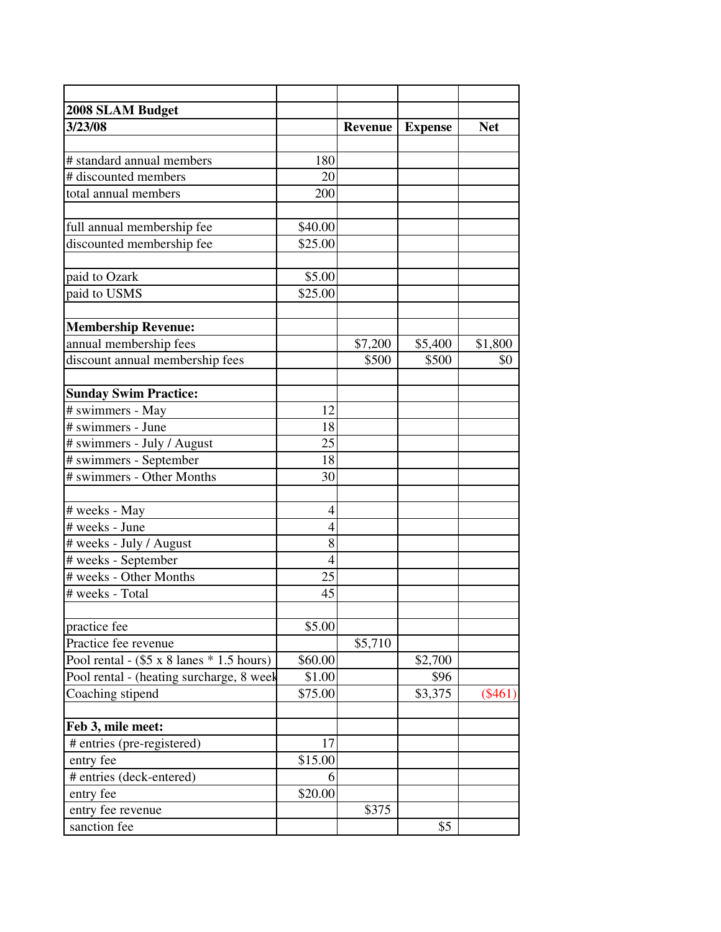| 2008 SLAM Budget                                 |                |         |                |            |
|--------------------------------------------------|----------------|---------|----------------|------------|
| 3/23/08                                          |                | Revenue | <b>Expense</b> | <b>Net</b> |
|                                                  |                |         |                |            |
| # standard annual members                        | 180            |         |                |            |
| # discounted members                             | 20             |         |                |            |
| total annual members                             | 200            |         |                |            |
|                                                  |                |         |                |            |
| full annual membership fee                       | \$40.00        |         |                |            |
| discounted membership fee                        | \$25.00        |         |                |            |
|                                                  |                |         |                |            |
| paid to Ozark                                    | \$5.00         |         |                |            |
| paid to USMS                                     | \$25.00        |         |                |            |
|                                                  |                |         |                |            |
| <b>Membership Revenue:</b>                       |                |         |                |            |
| annual membership fees                           |                | \$7,200 | \$5,400        | \$1,800    |
| discount annual membership fees                  |                | \$500   | \$500          | \$0        |
|                                                  |                |         |                |            |
| <b>Sunday Swim Practice:</b>                     |                |         |                |            |
| # swimmers - May                                 | 12             |         |                |            |
| # swimmers - June                                | 18             |         |                |            |
| # swimmers - July / August                       | 25             |         |                |            |
| # swimmers - September                           | 18             |         |                |            |
| # swimmers - Other Months                        | 30             |         |                |            |
|                                                  |                |         |                |            |
| # weeks - May                                    | $\overline{4}$ |         |                |            |
| # weeks - June                                   | $\overline{4}$ |         |                |            |
| # weeks - July / August                          | 8              |         |                |            |
| # weeks - September                              | $\overline{4}$ |         |                |            |
| # weeks - Other Months                           | 25             |         |                |            |
| # weeks - Total                                  | 45             |         |                |            |
|                                                  |                |         |                |            |
| practice fee                                     | \$5.00         |         |                |            |
| Practice fee revenue                             |                | \$5,710 |                |            |
| Pool rental - $(\$5 \times 8$ lanes * 1.5 hours) | \$60.00        |         | \$2,700        |            |
| Pool rental - (heating surcharge, 8 week         | \$1.00         |         | \$96           |            |
| Coaching stipend                                 | \$75.00        |         | \$3,375        | $(\$461)$  |
|                                                  |                |         |                |            |
| Feb 3, mile meet:                                |                |         |                |            |
| # entries (pre-registered)                       | 17             |         |                |            |
| entry fee                                        | \$15.00        |         |                |            |
| # entries (deck-entered)                         | 6              |         |                |            |
| entry fee                                        | \$20.00        |         |                |            |
| entry fee revenue                                |                | \$375   |                |            |
| sanction fee                                     |                |         | \$5            |            |